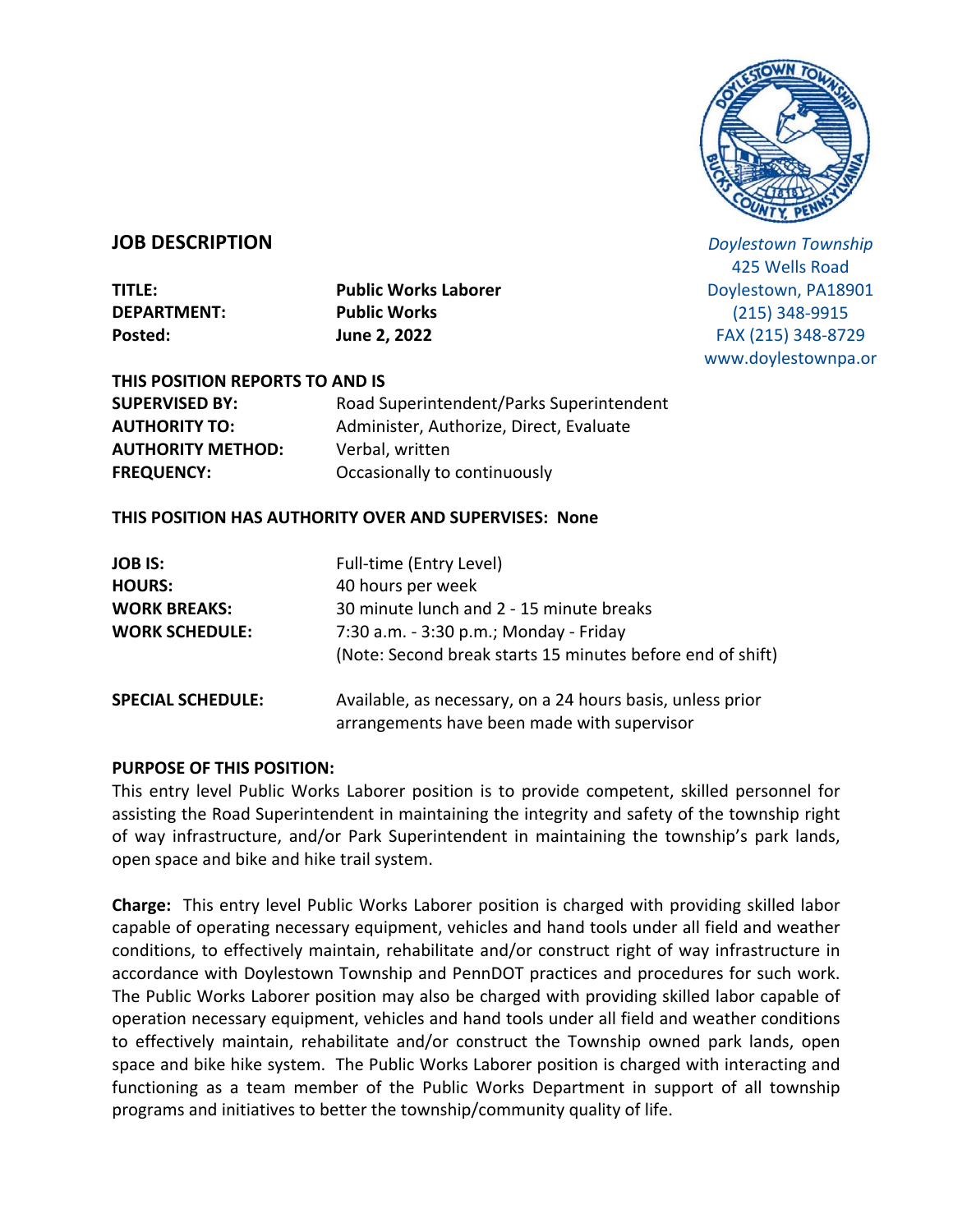

## **JOB DESCRIPTION**

**DEPARTMENT: Public Works Posted: June 2, 2022**

**TITLE: Public Works Laborer**

*Doylestown Township* 425 Wells Road Doylestown, PA18901 (215) 348-9915 FAX (215) 348-8729 www.doylestownpa.or

**THIS POSITION REPORTS TO AND IS AUTHORITY METHOD:** Verbal, written **FREQUENCY:** Occasionally to continuously

**SUPERVISED BY:** Road Superintendent/Parks Superintendent **AUTHORITY TO:** Administer, Authorize, Direct, Evaluate

## **THIS POSITION HAS AUTHORITY OVER AND SUPERVISES: None**

| <b>JOB IS:</b><br><b>HOURS:</b><br><b>WORK BREAKS:</b><br><b>WORK SCHEDULE:</b> | Full-time (Entry Level)<br>40 hours per week<br>30 minute lunch and 2 - 15 minute breaks<br>7:30 a.m. - 3:30 p.m.; Monday - Friday<br>(Note: Second break starts 15 minutes before end of shift) |
|---------------------------------------------------------------------------------|--------------------------------------------------------------------------------------------------------------------------------------------------------------------------------------------------|
| <b>SPECIAL SCHEDULE:</b>                                                        | Available, as necessary, on a 24 hours basis, unless prior<br>arrangements have been made with supervisor                                                                                        |

### **PURPOSE OF THIS POSITION:**

This entry level Public Works Laborer position is to provide competent, skilled personnel for assisting the Road Superintendent in maintaining the integrity and safety of the township right of way infrastructure, and/or Park Superintendent in maintaining the township's park lands, open space and bike and hike trail system.

**Charge:** This entry level Public Works Laborer position is charged with providing skilled labor capable of operating necessary equipment, vehicles and hand tools under all field and weather conditions, to effectively maintain, rehabilitate and/or construct right of way infrastructure in accordance with Doylestown Township and PennDOT practices and procedures for such work. The Public Works Laborer position may also be charged with providing skilled labor capable of operation necessary equipment, vehicles and hand tools under all field and weather conditions to effectively maintain, rehabilitate and/or construct the Township owned park lands, open space and bike hike system. The Public Works Laborer position is charged with interacting and functioning as a team member of the Public Works Department in support of all township programs and initiatives to better the township/community quality of life.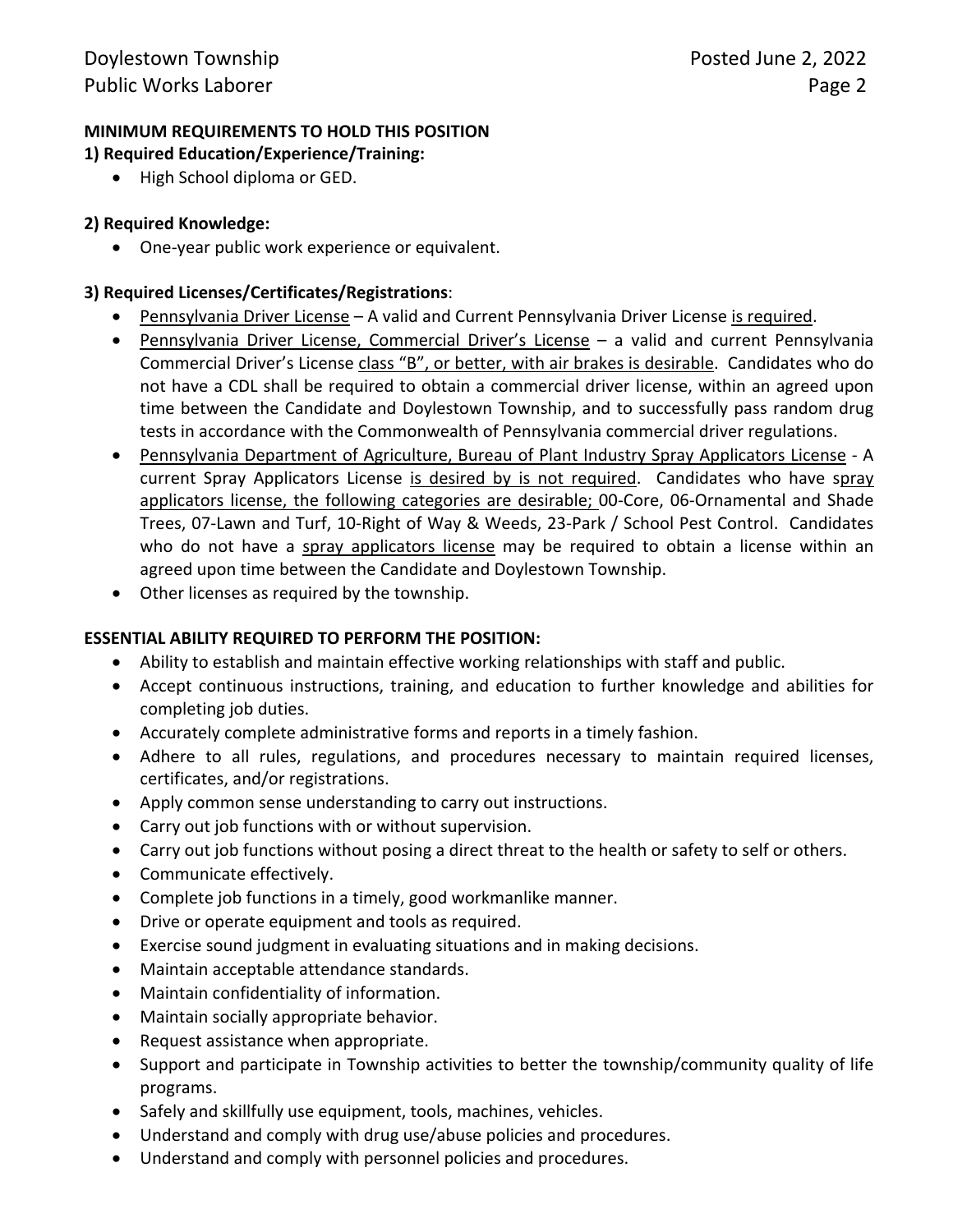# **MINIMUM REQUIREMENTS TO HOLD THIS POSITION**

## **1) Required Education/Experience/Training:**

• High School diploma or GED.

# **2) Required Knowledge:**

One-year public work experience or equivalent.

## **3) Required Licenses/Certificates/Registrations**:

- Pennsylvania Driver License A valid and Current Pennsylvania Driver License is required.
- Pennsylvania Driver License, Commercial Driver's License a valid and current Pennsylvania Commercial Driver's License class "B", or better, with air brakes is desirable. Candidates who do not have a CDL shall be required to obtain a commercial driver license, within an agreed upon time between the Candidate and Doylestown Township, and to successfully pass random drug tests in accordance with the Commonwealth of Pennsylvania commercial driver regulations.
- Pennsylvania Department of Agriculture, Bureau of Plant Industry Spray Applicators License A current Spray Applicators License is desired by is not required. Candidates who have spray applicators license, the following categories are desirable; 00-Core, 06-Ornamental and Shade Trees, 07-Lawn and Turf, 10-Right of Way & Weeds, 23-Park / School Pest Control. Candidates who do not have a spray applicators license may be required to obtain a license within an agreed upon time between the Candidate and Doylestown Township.
- Other licenses as required by the township.

# **ESSENTIAL ABILITY REQUIRED TO PERFORM THE POSITION:**

- Ability to establish and maintain effective working relationships with staff and public.
- Accept continuous instructions, training, and education to further knowledge and abilities for completing job duties.
- Accurately complete administrative forms and reports in a timely fashion.
- Adhere to all rules, regulations, and procedures necessary to maintain required licenses, certificates, and/or registrations.
- Apply common sense understanding to carry out instructions.
- Carry out job functions with or without supervision.
- Carry out job functions without posing a direct threat to the health or safety to self or others.
- Communicate effectively.
- Complete job functions in a timely, good workmanlike manner.
- Drive or operate equipment and tools as required.
- Exercise sound judgment in evaluating situations and in making decisions.
- Maintain acceptable attendance standards.
- Maintain confidentiality of information.
- Maintain socially appropriate behavior.
- Request assistance when appropriate.
- Support and participate in Township activities to better the township/community quality of life programs.
- Safely and skillfully use equipment, tools, machines, vehicles.
- Understand and comply with drug use/abuse policies and procedures.
- Understand and comply with personnel policies and procedures.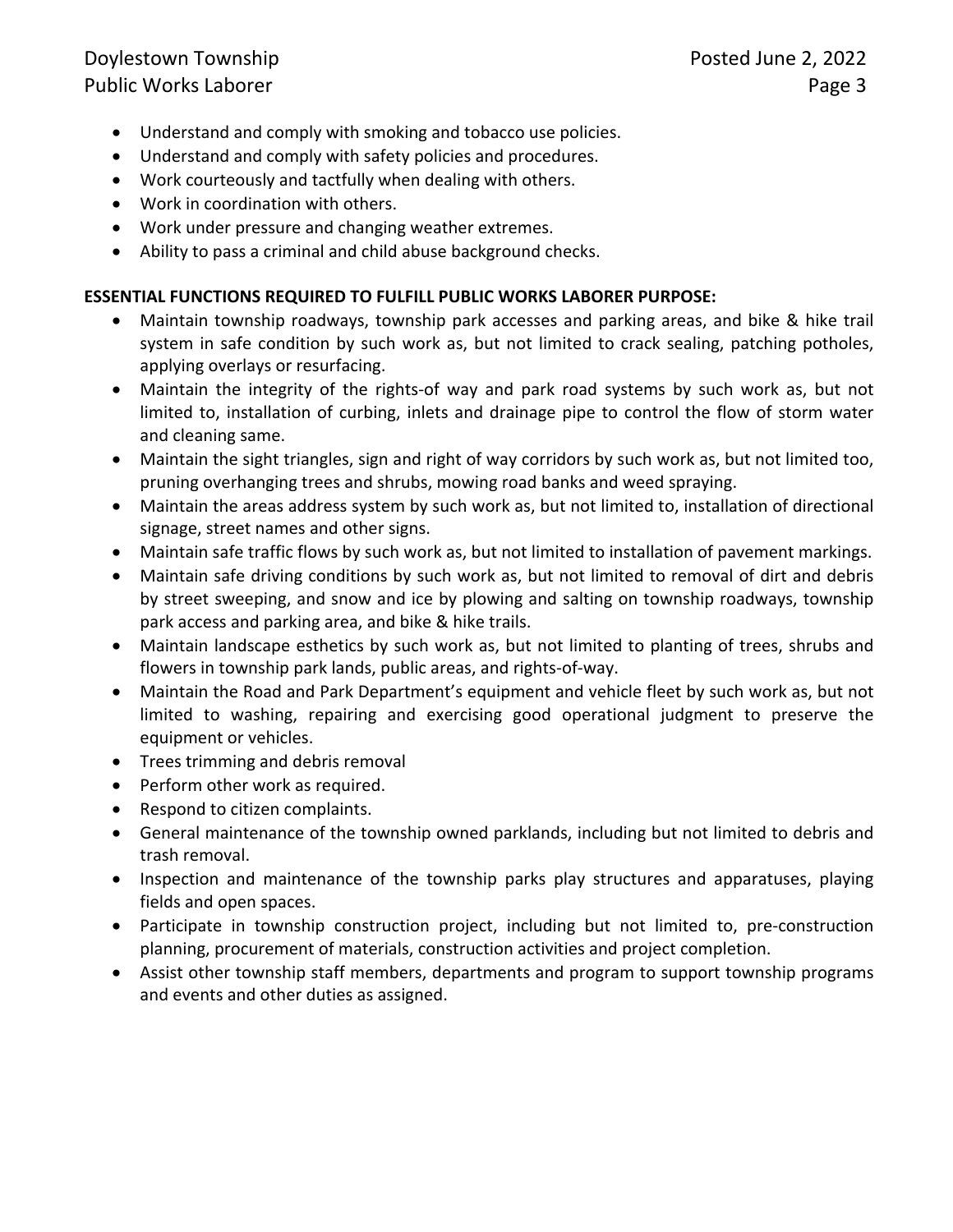# Doylestown Township **Posted June 2, 2022**

- Understand and comply with smoking and tobacco use policies.
- Understand and comply with safety policies and procedures.
- Work courteously and tactfully when dealing with others.
- Work in coordination with others.
- Work under pressure and changing weather extremes.
- Ability to pass a criminal and child abuse background checks.

# **ESSENTIAL FUNCTIONS REQUIRED TO FULFILL PUBLIC WORKS LABORER PURPOSE:**

- Maintain township roadways, township park accesses and parking areas, and bike & hike trail system in safe condition by such work as, but not limited to crack sealing, patching potholes, applying overlays or resurfacing.
- Maintain the integrity of the rights-of way and park road systems by such work as, but not limited to, installation of curbing, inlets and drainage pipe to control the flow of storm water and cleaning same.
- Maintain the sight triangles, sign and right of way corridors by such work as, but not limited too, pruning overhanging trees and shrubs, mowing road banks and weed spraying.
- Maintain the areas address system by such work as, but not limited to, installation of directional signage, street names and other signs.
- Maintain safe traffic flows by such work as, but not limited to installation of pavement markings.
- Maintain safe driving conditions by such work as, but not limited to removal of dirt and debris by street sweeping, and snow and ice by plowing and salting on township roadways, township park access and parking area, and bike & hike trails.
- Maintain landscape esthetics by such work as, but not limited to planting of trees, shrubs and flowers in township park lands, public areas, and rights-of-way.
- Maintain the Road and Park Department's equipment and vehicle fleet by such work as, but not limited to washing, repairing and exercising good operational judgment to preserve the equipment or vehicles.
- Trees trimming and debris removal
- Perform other work as required.
- Respond to citizen complaints.
- General maintenance of the township owned parklands, including but not limited to debris and trash removal.
- Inspection and maintenance of the township parks play structures and apparatuses, playing fields and open spaces.
- Participate in township construction project, including but not limited to, pre-construction planning, procurement of materials, construction activities and project completion.
- Assist other township staff members, departments and program to support township programs and events and other duties as assigned.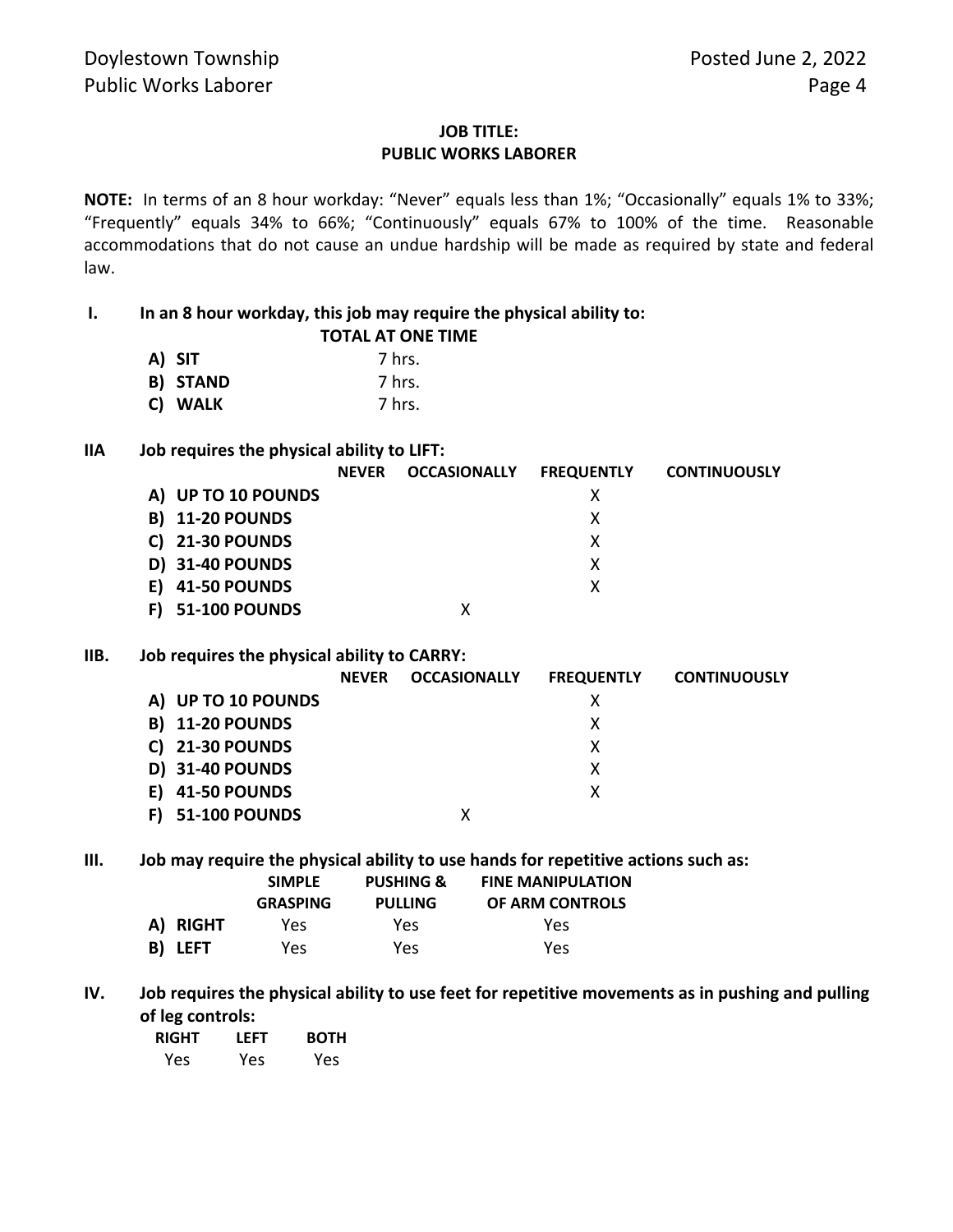## **JOB TITLE: PUBLIC WORKS LABORER**

**NOTE:** In terms of an 8 hour workday: "Never" equals less than 1%; "Occasionally" equals 1% to 33%; "Frequently" equals 34% to 66%; "Continuously" equals 67% to 100% of the time. Reasonable accommodations that do not cause an undue hardship will be made as required by state and federal law.

## **I. In an 8 hour workday, this job may require the physical ability to:**

|                 | <b>TOTAL AT ONE TIME</b> |
|-----------------|--------------------------|
| A) SIT          | 7 hrs.                   |
| <b>B) STAND</b> | 7 hrs.                   |
| C) WALK         | 7 hrs.                   |

### **IIA Job requires the physical ability to LIFT:**

|                        | <b>NFVFR</b> | <b>OCCASIONALLY</b> | <b>FREQUENTLY</b> | <b>CONTINUOUSLY</b> |
|------------------------|--------------|---------------------|-------------------|---------------------|
| A) UP TO 10 POUNDS     |              |                     |                   |                     |
| <b>B) 11-20 POUNDS</b> |              |                     | х                 |                     |
| <b>C) 21-30 POUNDS</b> |              |                     | x                 |                     |
| D) 31-40 POUNDS        |              |                     | х                 |                     |
| <b>41-50 POUNDS</b>    |              |                     |                   |                     |
| <b>51-100 POUNDS</b>   |              |                     |                   |                     |

#### **IIB. Job requires the physical ability to CARRY:**

|                           | <b>NFVFR</b> | <b>OCCASIONALLY</b> | <b>FREQUENTLY</b> | <b>CONTINUOUSLY</b> |
|---------------------------|--------------|---------------------|-------------------|---------------------|
| A) UP TO 10 POUNDS        |              |                     | х                 |                     |
| <b>B) 11-20 POUNDS</b>    |              |                     | х                 |                     |
| <b>C) 21-30 POUNDS</b>    |              |                     | х                 |                     |
| <b>D) 31-40 POUNDS</b>    |              |                     | χ                 |                     |
| <b>41-50 POUNDS</b><br>E) |              |                     | х                 |                     |
| <b>51-100 POUNDS</b>      |              |                     |                   |                     |

### **III. Job may require the physical ability to use hands for repetitive actions such as:**

|          | <b>SIMPLE</b><br><b>GRASPING</b> | <b>PUSHING &amp;</b><br><b>PULLING</b> | <b>FINE MANIPULATION</b><br>OF ARM CONTROLS |
|----------|----------------------------------|----------------------------------------|---------------------------------------------|
| A) RIGHT | Yes                              | Yes.                                   | Yes                                         |
| B) LEFT  | Yes                              | Yes                                    | Yes                                         |

**IV. Job requires the physical ability to use feet for repetitive movements as in pushing and pulling of leg controls:**

| <b>RIGHT</b> | LEFT | <b>BOTH</b> |
|--------------|------|-------------|
| Yes          | Yes  | Yes         |